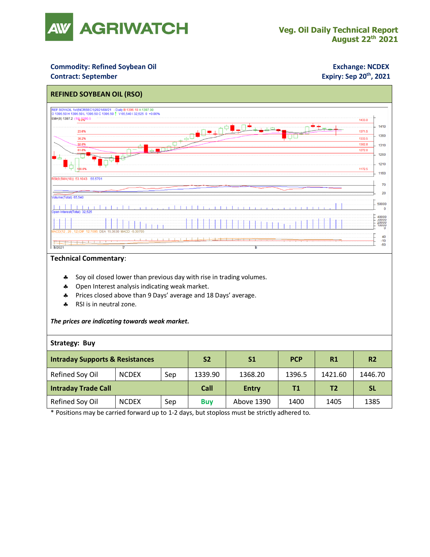

### **Commodity: Refined Soybean Oil <b>Exchange: NCDEX**

### **Contract: September**

## **Expiry: Sep 20<sup>th</sup>, 2021**



#### **Technical Commentary**:

- Soy oil closed lower than previous day with rise in trading volumes.
- \* Open Interest analysis indicating weak market.
- Prices closed above than 9 Days' average and 18 Days' average.
- \* RSI is in neutral zone.

#### *The prices are indicating towards weak market.*

#### **Strategy: Buy**

| <b>Intraday Supports &amp; Resistances</b> |              |     | <b>S2</b>  | S <sub>1</sub> | <b>PCP</b> | R1             | <b>R2</b> |
|--------------------------------------------|--------------|-----|------------|----------------|------------|----------------|-----------|
| Refined Soy Oil                            | <b>NCDEX</b> | Sep | 1339.90    | 1368.20        | 1396.5     | 1421.60        | 1446.70   |
| <b>Intraday Trade Call</b>                 |              |     | Call       | <b>Entry</b>   | Τ1         | T <sub>2</sub> | <b>SL</b> |
| Refined Soy Oil                            | <b>NCDEX</b> | Sep | <b>Buy</b> | Above 1390     | 1400       | 1405           | 1385      |

\* Positions may be carried forward up to 1-2 days, but stoploss must be strictly adhered to.